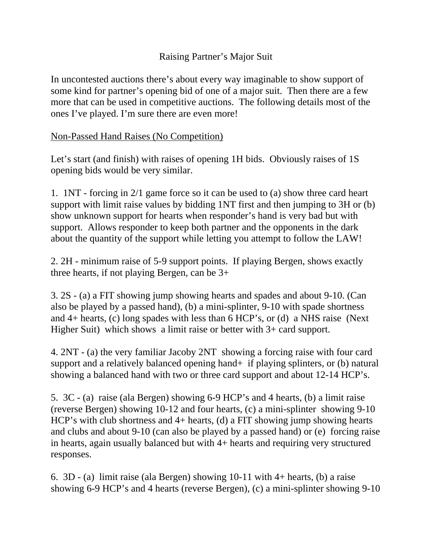## Raising Partner's Major Suit

In uncontested auctions there's about every way imaginable to show support of some kind for partner's opening bid of one of a major suit. Then there are a few more that can be used in competitive auctions. The following details most of the ones I've played. I'm sure there are even more!

## Non-Passed Hand Raises (No Competition)

Let's start (and finish) with raises of opening 1H bids. Obviously raises of 1S opening bids would be very similar.

1. 1NT - forcing in 2/1 game force so it can be used to (a) show three card heart support with limit raise values by bidding 1NT first and then jumping to 3H or (b) show unknown support for hearts when responder's hand is very bad but with support. Allows responder to keep both partner and the opponents in the dark about the quantity of the support while letting you attempt to follow the LAW!

2. 2H - minimum raise of 5-9 support points. If playing Bergen, shows exactly three hearts, if not playing Bergen, can be 3+

3. 2S - (a) a FIT showing jump showing hearts and spades and about 9-10. (Can also be played by a passed hand), (b) a mini-splinter, 9-10 with spade shortness and 4+ hearts, (c) long spades with less than 6 HCP's, or (d) a NHS raise (Next Higher Suit) which shows a limit raise or better with 3+ card support.

4. 2NT - (a) the very familiar Jacoby 2NT showing a forcing raise with four card support and a relatively balanced opening hand+ if playing splinters, or (b) natural showing a balanced hand with two or three card support and about 12-14 HCP's.

5. 3C - (a) raise (ala Bergen) showing 6-9 HCP's and 4 hearts, (b) a limit raise (reverse Bergen) showing 10-12 and four hearts, (c) a mini-splinter showing 9-10 HCP's with club shortness and 4+ hearts, (d) a FIT showing jump showing hearts and clubs and about 9-10 (can also be played by a passed hand) or (e) forcing raise in hearts, again usually balanced but with 4+ hearts and requiring very structured responses.

6. 3D - (a) limit raise (ala Bergen) showing 10-11 with 4+ hearts, (b) a raise showing 6-9 HCP's and 4 hearts (reverse Bergen), (c) a mini-splinter showing 9-10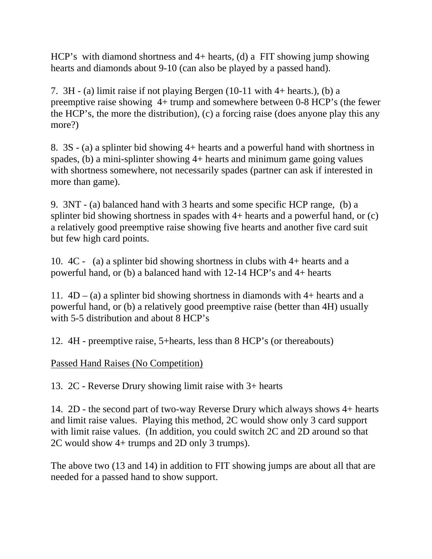HCP's with diamond shortness and 4+ hearts, (d) a FIT showing jump showing hearts and diamonds about 9-10 (can also be played by a passed hand).

7. 3H - (a) limit raise if not playing Bergen (10-11 with 4+ hearts.), (b) a preemptive raise showing 4+ trump and somewhere between 0-8 HCP's (the fewer the HCP's, the more the distribution), (c) a forcing raise (does anyone play this any more?)

8. 3S - (a) a splinter bid showing 4+ hearts and a powerful hand with shortness in spades, (b) a mini-splinter showing 4+ hearts and minimum game going values with shortness somewhere, not necessarily spades (partner can ask if interested in more than game).

9. 3NT - (a) balanced hand with 3 hearts and some specific HCP range, (b) a splinter bid showing shortness in spades with 4+ hearts and a powerful hand, or (c) a relatively good preemptive raise showing five hearts and another five card suit but few high card points.

10. 4C - (a) a splinter bid showing shortness in clubs with 4+ hearts and a powerful hand, or (b) a balanced hand with 12-14 HCP's and 4+ hearts

11.  $4D - (a)$  a splinter bid showing shortness in diamonds with 4+ hearts and a powerful hand, or (b) a relatively good preemptive raise (better than 4H) usually with 5-5 distribution and about 8 HCP's

12. 4H - preemptive raise, 5+hearts, less than 8 HCP's (or thereabouts)

Passed Hand Raises (No Competition)

13. 2C - Reverse Drury showing limit raise with 3+ hearts

14. 2D - the second part of two-way Reverse Drury which always shows 4+ hearts and limit raise values. Playing this method, 2C would show only 3 card support with limit raise values. (In addition, you could switch 2C and 2D around so that 2C would show 4+ trumps and 2D only 3 trumps).

The above two (13 and 14) in addition to FIT showing jumps are about all that are needed for a passed hand to show support.